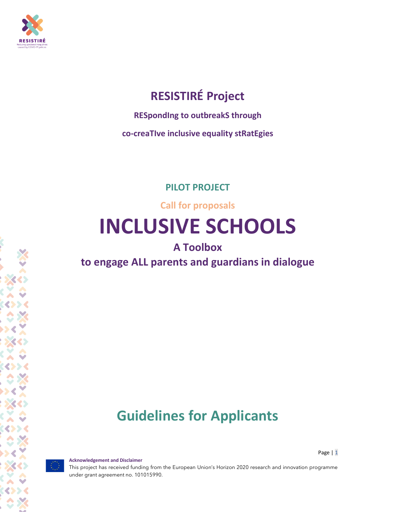

## **RESISTIRÉ Project**

**RESpondIng to outbreakS through**

**co-creaTIve inclusive equality stRatEgies**

**PILOT PROJECT**

**Call for proposals**

# **INCLUSIVE SCHOOLS**

## **A Toolbox**

## **to engage ALL parents and guardians in dialogue**

## **Guidelines for Applicants**

Page | 1

**Acknowledgement and Disclaimer** This project has received funding from the European Union's Horizon 2020 research and innovation programme under grant agreement no. 101015990.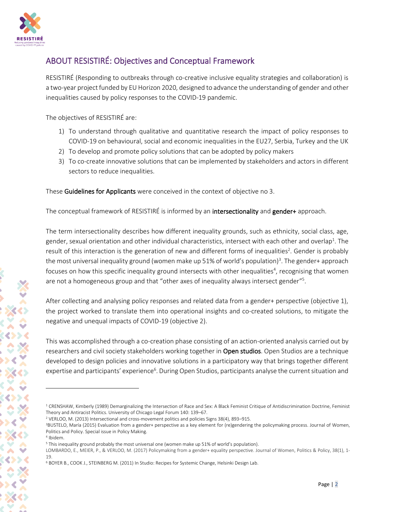

## ABOUT RESISTIRÉ: Objectives and Conceptual Framework

RESISTIRÉ (Responding to outbreaks through co-creative inclusive equality strategies and collaboration) is a two-year project funded by EU Horizon 2020, designed to advance the understanding of gender and other inequalities caused by policy responses to the COVID-19 pandemic.

The objectives of RESISTIRÉ are:

- 1) To understand through qualitative and quantitative research the impact of policy responses to COVID-19 on behavioural, social and economic inequalities in the EU27, Serbia, Turkey and the UK
- 2) To develop and promote policy solutions that can be adopted by policy makers
- 3) To co-create innovative solutions that can be implemented by stakeholders and actors in different sectors to reduce inequalities.

These Guidelines for Applicants were conceived in the context of objective no 3.

The conceptual framework of RESISTIRE is informed by an **intersectionality** and **gender+** approach.

The term intersectionality describes how different inequality grounds, such as ethnicity, social class, age, gender, sexual orientation and other individual characteristics, intersect with each other and overlap $^{\rm 1}$ . The result of this interaction is the generation of new and different forms of inequalities<sup>2</sup>. Gender is probably the most universal inequality ground (women make up 51% of world's population)<sup>3</sup>. The gender+ approach focuses on how this specific inequality ground intersects with other inequalities<sup>4</sup>, recognising that women are not a homogeneous group and that "other axes of inequality always intersect gender"<sup>5</sup>.

After collecting and analysing policy responses and related data from a gender+ perspective (objective 1), the project worked to translate them into operational insights and co-created solutions, to mitigate the negative and unequal impacts of COVID-19 (objective 2).

This was accomplished through a co-creation phase consisting of an action-oriented analysis carried out by researchers and civil society stakeholders working together in Open studios. Open Studios are a technique developed to design policies and innovative solutions in a participatory way that brings together different expertise and participants' experience<sup>6</sup>. During Open Studios, participants analyse the current situation and

<sup>&</sup>lt;sup>1</sup> CRENSHAW, Kimberly (1989) Demarginalizing the Intersection of Race and Sex: A Black Feminist Critique of Antidiscrimination Doctrine, Feminist Theory and Antiracist Politics. University of Chicago Legal Forum 140: 139–67.

<sup>2</sup> VERLOO, M. (2013) Intersectional and cross-movement politics and policies Signs 38(4), 893–915.

<sup>&</sup>lt;sup>3</sup>BUSTELO, María (2015) Evaluation from a gender+ perspective as a key element for (re)gendering the policymaking process. Journal of Women, Politics and Policy. Special issue in Policy Making.

<sup>4</sup> Ibidem.

<sup>5</sup> This inequality ground probably the most universal one (women make up 51% of world's population).

LOMBARDO, E., MEIER, P., & VERLOO, M. (2017) Policymaking from a gender+ equality perspective. Journal of Women, Politics & Policy, 38(1), 1- 19.

<sup>6</sup> BOYER B., COOK J., STEINBERG M. (2011) In Studio: Recipes for Systemic Change, Helsinki Design Lab.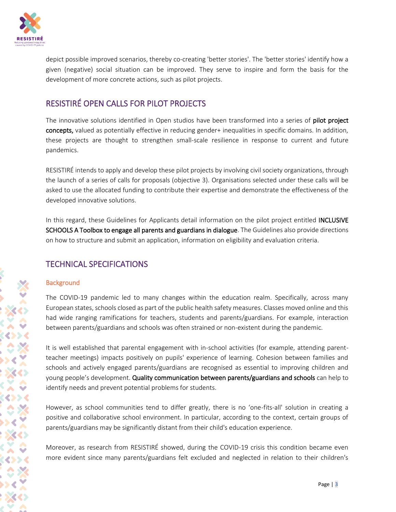

depict possible improved scenarios, thereby co-creating 'better stories'. The 'better stories' identify how a given (negative) social situation can be improved. They serve to inspire and form the basis for the development of more concrete actions, such as pilot projects.

## RESISTIRÉ OPEN CALLS FOR PILOT PROJECTS

The innovative solutions identified in Open studios have been transformed into a series of pilot project concepts, valued as potentially effective in reducing gender+ inequalities in specific domains. In addition, these projects are thought to strengthen small-scale resilience in response to current and future pandemics.

RESISTIRÉ intends to apply and develop these pilot projects by involving civil society organizations, through the launch of a series of calls for proposals (objective 3). Organisations selected under these calls will be asked to use the allocated funding to contribute their expertise and demonstrate the effectiveness of the developed innovative solutions.

In this regard, these Guidelines for Applicants detail information on the pilot project entitled INCLUSIVE SCHOOLS A Toolbox to engage all parents and guardians in dialogue. The Guidelines also provide directions on how to structure and submit an application, information on eligibility and evaluation criteria.

## TECHNICAL SPECIFICATIONS

## **Background**

The COVID-19 pandemic led to many changes within the education realm. Specifically, across many European states, schools closed as part of the public health safety measures. Classes moved online and this had wide ranging ramifications for teachers, students and parents/guardians. For example, interaction between parents/guardians and schools was often strained or non-existent during the pandemic.

It is well established that parental engagement with in-school activities (for example, attending parentteacher meetings) impacts positively on pupils' experience of learning. Cohesion between families and schools and actively engaged parents/guardians are recognised as essential to improving children and young people's development. Quality communication between parents/guardians and schools can help to identify needs and prevent potential problems for students.

However, as school communities tend to differ greatly, there is no 'one-fits-all' solution in creating a positive and collaborative school environment. In particular, according to the context, certain groups of parents/guardians may be significantly distant from their child's education experience.

Moreover, as research from RESISTIRÉ showed, during the COVID-19 crisis this condition became even more evident since many parents/guardians felt excluded and neglected in relation to their children's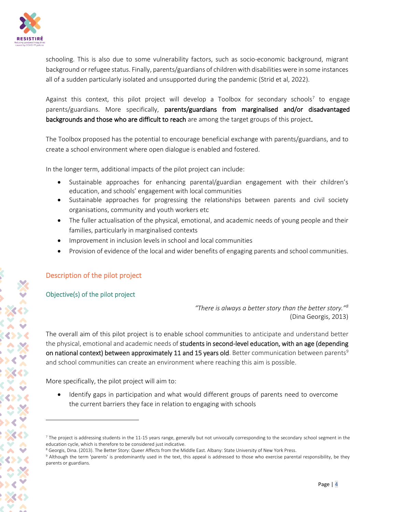

schooling. This is also due to some vulnerability factors, such as socio-economic background, migrant background or refugee status. Finally, parents/guardians of children with disabilities were in some instances all of a sudden particularly isolated and unsupported during the pandemic (Strid et al, 2022).

Against this context, this pilot project will develop a Toolbox for secondary schools<sup>7</sup> to engage parents/guardians. More specifically, parents/guardians from marginalised and/or disadvantaged backgrounds and those who are difficult to reach are among the target groups of this project.

The Toolbox proposed has the potential to encourage beneficial exchange with parents/guardians, and to create a school environment where open dialogue is enabled and fostered.

In the longer term, additional impacts of the pilot project can include:

- Sustainable approaches for enhancing parental/guardian engagement with their children's education, and schools' engagement with local communities
- Sustainable approaches for progressing the relationships between parents and civil society organisations, community and youth workers etc
- The fuller actualisation of the physical, emotional, and academic needs of young people and their families, particularly in marginalised contexts
- Improvement in inclusion levels in school and local communities
- Provision of evidence of the local and wider benefits of engaging parents and school communities.

## Description of the pilot project

## Objective(s) of the pilot project

*"There is always a better story than the better story."<sup>8</sup>* (Dina Georgis, 2013)

The overall aim of this pilot project is to enable school communities to anticipate and understand better the physical, emotional and academic needs of students in second-level education, with an age (depending on national context) between approximately 11 and 15 years old. Better communication between parents<sup>9</sup> and school communities can create an environment where reaching this aim is possible.

More specifically, the pilot project will aim to:

• Identify gaps in participation and what would different groups of parents need to overcome the current barriers they face in relation to engaging with schools

 $<sup>7</sup>$  The project is addressing students in the 11-15 years range, generally but not univocally corresponding to the secondary school segment in the</sup> education cycle, which is therefore to be considered just indicative.

<sup>&</sup>lt;sup>8</sup> Georgis, Dina. (2013). The Better Story: Queer Affects from the Middle East. Albany: State University of New York Press.

<sup>9</sup> Although the term 'parents' is predominantly used in the text, this appeal is addressed to those who exercise parental responsibility, be they parents or guardians.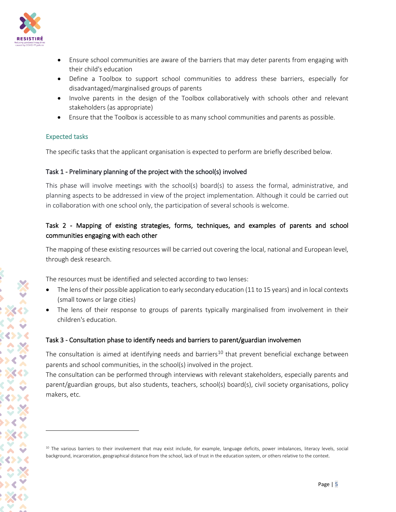

- Ensure school communities are aware of the barriers that may deter parents from engaging with their child's education
- Define a Toolbox to support school communities to address these barriers, especially for disadvantaged/marginalised groups of parents
- Involve parents in the design of the Toolbox collaboratively with schools other and relevant stakeholders (as appropriate)
- Ensure that the Toolbox is accessible to as many school communities and parents as possible.

## Expected tasks

The specific tasks that the applicant organisation is expected to perform are briefly described below.

#### Task 1 - Preliminary planning of the project with the school(s) involved

This phase will involve meetings with the school(s) board(s) to assess the formal, administrative, and planning aspects to be addressed in view of the project implementation. Although it could be carried out in collaboration with one school only, the participation of several schools is welcome.

## Task 2 - Mapping of existing strategies, forms, techniques, and examples of parents and school communities engaging with each other

The mapping of these existing resources will be carried out covering the local, national and European level, through desk research.

The resources must be identified and selected according to two lenses:

- The lens of their possible application to early secondary education (11 to 15 years) and in local contexts (small towns or large cities)
- The lens of their response to groups of parents typically marginalised from involvement in their children's education.

## Task 3 - Consultation phase to identify needs and barriers to parent/guardian involvemen

The consultation is aimed at identifying needs and barriers<sup>10</sup> that prevent beneficial exchange between parents and school communities, in the school(s) involved in the project.

The consultation can be performed through interviews with relevant stakeholders, especially parents and parent/guardian groups, but also students, teachers, school(s) board(s), civil society organisations, policy makers, etc.

<sup>&</sup>lt;sup>10</sup> The various barriers to their involvement that may exist include, for example, language deficits, power imbalances, literacy levels, social background, incarceration, geographical distance from the school, lack of trust in the education system, or others relative to the context.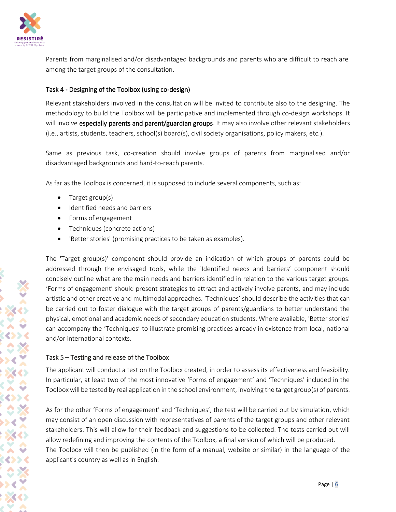

Parents from marginalised and/or disadvantaged backgrounds and parents who are difficult to reach are among the target groups of the consultation.

## Task 4 - Designing of the Toolbox (using co-design)

Relevant stakeholders involved in the consultation will be invited to contribute also to the designing. The methodology to build the Toolbox will be participative and implemented through co-design workshops. It will involve especially parents and parent/guardian groups. It may also involve other relevant stakeholders (i.e., artists, students, teachers, school(s) board(s), civil society organisations, policy makers, etc.).

Same as previous task, co-creation should involve groups of parents from marginalised and/or disadvantaged backgrounds and hard-to-reach parents.

As far as the Toolbox is concerned, it is supposed to include several components, such as:

- Target group(s)
- Identified needs and barriers
- Forms of engagement
- Techniques (concrete actions)
- 'Better stories' (promising practices to be taken as examples).

The 'Target group(s)' component should provide an indication of which groups of parents could be addressed through the envisaged tools, while the 'Identified needs and barriers' component should concisely outline what are the main needs and barriers identified in relation to the various target groups. 'Forms of engagement' should present strategies to attract and actively involve parents, and may include artistic and other creative and multimodal approaches. 'Techniques' should describe the activities that can be carried out to foster dialogue with the target groups of parents/guardians to better understand the physical, emotional and academic needs of secondary education students. Where available, 'Better stories' can accompany the 'Techniques' to illustrate promising practices already in existence from local, national and/or international contexts.

## Task 5 – Testing and release of the Toolbox

The applicant will conduct a test on the Toolbox created, in order to assess its effectiveness and feasibility. In particular, at least two of the most innovative 'Forms of engagement' and 'Techniques' included in the Toolbox will be tested by real application in the school environment, involving the target group(s) of parents.

As for the other 'Forms of engagement' and 'Techniques', the test will be carried out by simulation, which may consist of an open discussion with representatives of parents of the target groups and other relevant stakeholders. This will allow for their feedback and suggestions to be collected. The tests carried out will allow redefining and improving the contents of the Toolbox, a final version of which will be produced. The Toolbox will then be published (in the form of a manual, website or similar) in the language of the applicant's country as well as in English.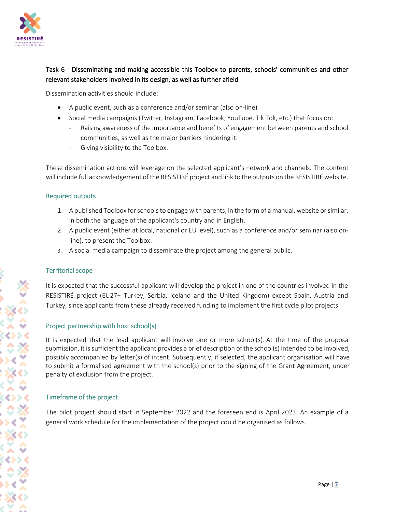

## Task 6 - Disseminating and making accessible this Toolbox to parents, schools' communities and other relevant stakeholders involved in its design, as well as further afield

Dissemination activities should include:

- A public event, such as a conference and/or seminar (also on-line)
- Social media campaigns (Twitter, Instagram, Facebook, YouTube, Tik Tok, etc.) that focus on:
	- Raising awareness of the importance and benefits of engagement between parents and school communities, as well as the major barriers hindering it.
	- Giving visibility to the Toolbox.

These dissemination actions will leverage on the selected applicant's network and channels. The content will include full acknowledgement of the RESISTIRÉ project and link to the outputs on the RESISTIRÉ website.

#### Required outputs

- 1. A published Toolbox for schools to engage with parents, in the form of a manual, website or similar, in both the language of the applicant's country and in English.
- 2. A public event (either at local, national or EU level), such as a conference and/or seminar (also online), to present the Toolbox.
- 3. A social media campaign to disseminate the project among the general public.

#### Territorial scope

It is expected that the successful applicant will develop the project in one of the countries involved in the RESISTIRÉ project (EU27+ Turkey, Serbia, Iceland and the United Kingdom) except Spain, Austria and Turkey, since applicants from these already received funding to implement the first cycle pilot projects.

#### Project partnership with host school(s)

It is expected that the lead applicant will involve one or more school(s). At the time of the proposal submission, it is sufficient the applicant provides a brief description of the school(s) intended to be involved, possibly accompanied by letter(s) of intent. Subsequently, if selected, the applicant organisation will have to submit a formalised agreement with the school(s) prior to the signing of the Grant Agreement, under penalty of exclusion from the project.

## Timeframe of the project

The pilot project should start in September 2022 and the foreseen end is April 2023. An example of a general work schedule for the implementation of the project could be organised as follows.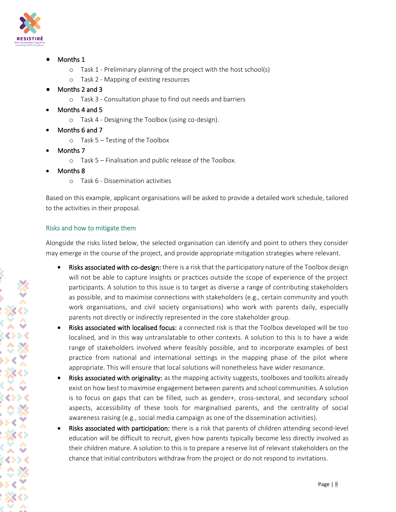

- Months 1
	- o Task 1 Preliminary planning of the project with the host school(s)
	- o Task 2 Mapping of existing resources
- Months 2 and 3
	- o Task 3 Consultation phase to find out needs and barriers
- Months 4 and 5
	- o Task 4 Designing the Toolbox (using co-design).
- Months 6 and 7
	- o Task 5 Testing of the Toolbox
- Months 7
	- o Task 5 Finalisation and public release of the Toolbox.
- Months 8
	- o Task 6 Dissemination activities

Based on this example, applicant organisations will be asked to provide a detailed work schedule, tailored to the activities in their proposal.

#### Risks and how to mitigate them

Alongside the risks listed below, the selected organisation can identify and point to others they consider may emerge in the course of the project, and provide appropriate mitigation strategies where relevant.

- Risks associated with co-design: there is a risk that the participatory nature of the Toolbox design will not be able to capture insights or practices outside the scope of experience of the project participants. A solution to this issue is to target as diverse a range of contributing stakeholders as possible, and to maximise connections with stakeholders (e.g., certain community and youth work organisations, and civil society organisations) who work with parents daily, especially parents not directly or indirectly represented in the core stakeholder group.
- Risks associated with localised focus: a connected risk is that the Toolbox developed will be too localised, and in this way untranslatable to other contexts. A solution to this is to have a wide range of stakeholders involved where feasibly possible, and to incorporate examples of best practice from national and international settings in the mapping phase of the pilot where appropriate. This will ensure that local solutions will nonetheless have wider resonance.
- Risks associated with originality: as the mapping activity suggests, toolboxes and toolkits already exist on how best to maximise engagement between parents and school communities. A solution is to focus on gaps that can be filled, such as gender+, cross-sectoral, and secondary school aspects, accessibility of these tools for marginalised parents, and the centrality of social awareness raising (e.g., social media campaign as one of the dissemination activities).
- Risks associated with participation: there is a risk that parents of children attending second-level education will be difficult to recruit, given how parents typically become less directly involved as their children mature. A solution to this is to prepare a reserve list of relevant stakeholders on the chance that initial contributors withdraw from the project or do not respond to invitations.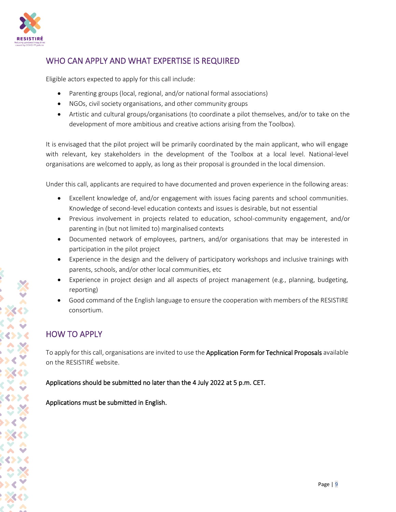

## WHO CAN APPLY AND WHAT EXPERTISE IS REQUIRED

Eligible actors expected to apply for this call include:

- Parenting groups (local, regional, and/or national formal associations)
- NGOs, civil society organisations, and other community groups
- Artistic and cultural groups/organisations (to coordinate a pilot themselves, and/or to take on the development of more ambitious and creative actions arising from the Toolbox).

It is envisaged that the pilot project will be primarily coordinated by the main applicant, who will engage with relevant, key stakeholders in the development of the Toolbox at a local level. National-level organisations are welcomed to apply, as long as their proposal is grounded in the local dimension.

Under this call, applicants are required to have documented and proven experience in the following areas:

- Excellent knowledge of, and/or engagement with issues facing parents and school communities. Knowledge of second-level education contexts and issues is desirable, but not essential
- Previous involvement in projects related to education, school-community engagement, and/or parenting in (but not limited to) marginalised contexts
- Documented network of employees, partners, and/or organisations that may be interested in participation in the pilot project
- Experience in the design and the delivery of participatory workshops and inclusive trainings with parents, schools, and/or other local communities, etc
- Experience in project design and all aspects of project management (e.g., planning, budgeting, reporting)
- Good command of the English language to ensure the cooperation with members of the RESISTIRE consortium.

## HOW TO APPLY

To apply for this call, organisations are invited to use the Application Form for Technical Proposals available on the RESISTIRÉ website.

Applications should be submitted no later than the 4 July 2022 at 5 p.m. CET.

Applications must be submitted in English.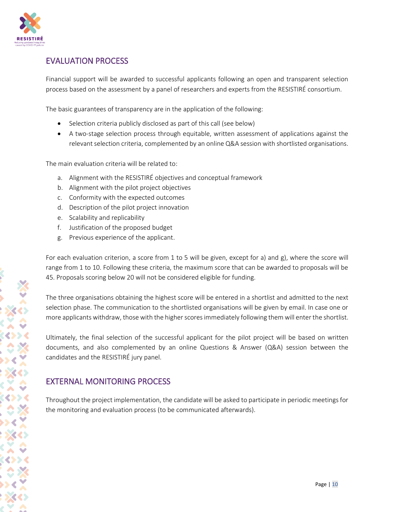

## EVALUATION PROCESS

Financial support will be awarded to successful applicants following an open and transparent selection process based on the assessment by a panel of researchers and experts from the RESISTIRÉ consortium.

The basic guarantees of transparency are in the application of the following:

- Selection criteria publicly disclosed as part of this call (see below)
- A two-stage selection process through equitable, written assessment of applications against the relevant selection criteria, complemented by an online Q&A session with shortlisted organisations.

The main evaluation criteria will be related to:

- a. Alignment with the RESISTIRÉ objectives and conceptual framework
- b. Alignment with the pilot project objectives
- c. Conformity with the expected outcomes
- d. Description of the pilot project innovation
- e. Scalability and replicability
- f. Justification of the proposed budget
- g. Previous experience of the applicant.

For each evaluation criterion, a score from 1 to 5 will be given, except for a) and g), where the score will range from 1 to 10. Following these criteria, the maximum score that can be awarded to proposals will be 45. Proposals scoring below 20 will not be considered eligible for funding.

The three organisations obtaining the highest score will be entered in a shortlist and admitted to the next selection phase. The communication to the shortlisted organisations will be given by email. In case one or more applicants withdraw, those with the higher scores immediately following them will enter the shortlist.

Ultimately, the final selection of the successful applicant for the pilot project will be based on written documents, and also complemented by an online Questions & Answer (Q&A) session between the candidates and the RESISTIRÉ jury panel.

## EXTERNAL MONITORING PROCESS

Throughout the project implementation, the candidate will be asked to participate in periodic meetings for the monitoring and evaluation process (to be communicated afterwards).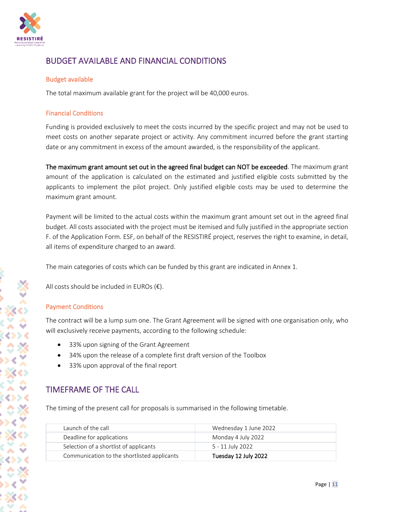

## BUDGET AVAILABLE AND FINANCIAL CONDITIONS

#### Budget available

The total maximum available grant for the project will be 40,000 euros.

#### Financial Conditions

Funding is provided exclusively to meet the costs incurred by the specific project and may not be used to meet costs on another separate project or activity. Any commitment incurred before the grant starting date or any commitment in excess of the amount awarded, is the responsibility of the applicant.

The maximum grant amount set out in the agreed final budget can NOT be exceeded. The maximum grant amount of the application is calculated on the estimated and justified eligible costs submitted by the applicants to implement the pilot project. Only justified eligible costs may be used to determine the maximum grant amount.

Payment will be limited to the actual costs within the maximum grant amount set out in the agreed final budget. All costs associated with the project must be itemised and fully justified in the appropriate section F. of the Application Form. ESF, on behalf of the RESISTIRÉ project, reserves the right to examine, in detail, all items of expenditure charged to an award.

The main categories of costs which can be funded by this grant are indicated in Annex 1.

All costs should be included in EUROs  $(\epsilon)$ .

#### Payment Conditions

The contract will be a lump sum one. The Grant Agreement will be signed with one organisation only, who will exclusively receive payments, according to the following schedule:

- 33% upon signing of the Grant Agreement
- 34% upon the release of a complete first draft version of the Toolbox
- 33% upon approval of the final report

## TIMEFRAME OF THE CALL

The timing of the present call for proposals is summarised in the following timetable.

| Communication to the shortlisted applicants | Tuesday 12 July 2022  |
|---------------------------------------------|-----------------------|
| Selection of a shortlist of applicants      | 5 - 11 July 2022      |
| Deadline for applications                   | Monday 4 July 2022    |
| Launch of the call                          | Wednesday 1 June 2022 |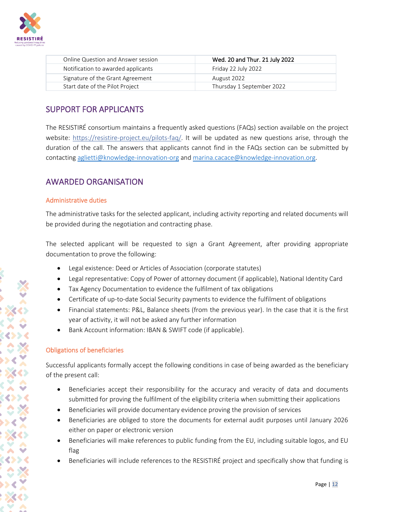

| Online Question and Answer session | Wed. 20 and Thur. 21 July 2022 |
|------------------------------------|--------------------------------|
| Notification to awarded applicants | Friday 22 July 2022            |
| Signature of the Grant Agreement   | August 2022                    |
| Start date of the Pilot Project    | Thursday 1 September 2022      |

## SUPPORT FOR APPLICANTS

The RESISTIRÉ consortium maintains a frequently asked questions (FAQs) section available on the project website:<https://resistire-project.eu/pilots-faq/>. It will be updated as new questions arise, through the duration of the call. The answers that applicants cannot find in the FAQs section can be submitted by contacting [aglietti@knowledge-innovation-org](mailto:aglietti@knowledge-innovation-org) and [marina.cacace@knowledge-innovation.org.](mailto:marina.cacace@knowledge-innovation.org)

## AWARDED ORGANISATION

#### Administrative duties

The administrative tasks for the selected applicant, including activity reporting and related documents will be provided during the negotiation and contracting phase.

The selected applicant will be requested to sign a Grant Agreement, after providing appropriate documentation to prove the following:

- Legal existence: Deed or Articles of Association (corporate statutes)
- Legal representative: Copy of Power of attorney document (if applicable), National Identity Card
- Tax Agency Documentation to evidence the fulfilment of tax obligations
- Certificate of up-to-date Social Security payments to evidence the fulfilment of obligations
- Financial statements: P&L, Balance sheets (from the previous year). In the case that it is the first year of activity, it will not be asked any further information
- Bank Account information: IBAN & SWIFT code (if applicable).

## Obligations of beneficiaries

Successful applicants formally accept the following conditions in case of being awarded as the beneficiary of the present call:

- Beneficiaries accept their responsibility for the accuracy and veracity of data and documents submitted for proving the fulfilment of the eligibility criteria when submitting their applications
- Beneficiaries will provide documentary evidence proving the provision of services
- Beneficiaries are obliged to store the documents for external audit purposes until January 2026 either on paper or electronic version
- Beneficiaries will make references to public funding from the EU, including suitable logos, and EU flag
- Beneficiaries will include references to the RESISTIRÉ project and specifically show that funding is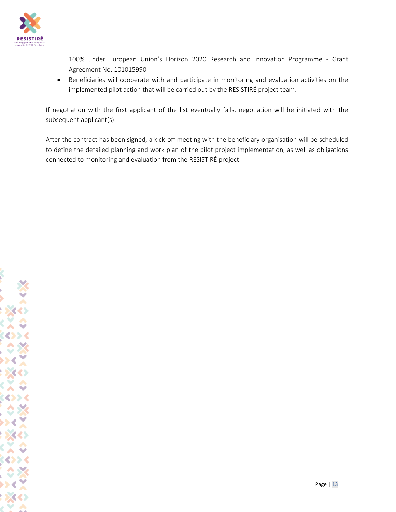

100% under European Union's Horizon 2020 Research and Innovation Programme - Grant Agreement No. 101015990

• Beneficiaries will cooperate with and participate in monitoring and evaluation activities on the implemented pilot action that will be carried out by the RESISTIRÉ project team.

If negotiation with the first applicant of the list eventually fails, negotiation will be initiated with the subsequent applicant(s).

After the contract has been signed, a kick-off meeting with the beneficiary organisation will be scheduled to define the detailed planning and work plan of the pilot project implementation, as well as obligations connected to monitoring and evaluation from the RESISTIRÉ project.

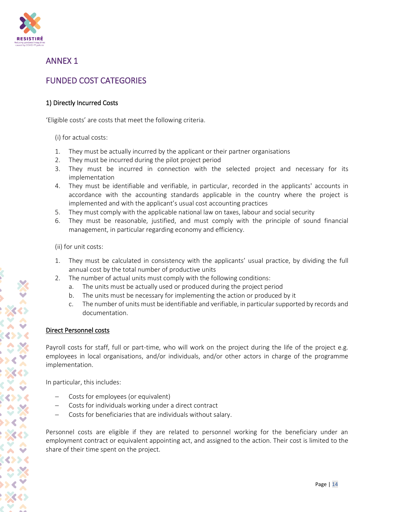

## ANNEX 1

## FUNDED COST CATEGORIES

## 1) Directly Incurred Costs

'Eligible costs' are costs that meet the following criteria.

(i) for actual costs:

- 1. They must be actually incurred by the applicant or their partner organisations
- 2. They must be incurred during the pilot project period
- 3. They must be incurred in connection with the selected project and necessary for its implementation
- 4. They must be identifiable and verifiable, in particular, recorded in the applicants' accounts in accordance with the accounting standards applicable in the country where the project is implemented and with the applicant's usual cost accounting practices
- 5. They must comply with the applicable national law on taxes, labour and social security
- 6. They must be reasonable, justified, and must comply with the principle of sound financial management, in particular regarding economy and efficiency.

(ii) for unit costs:

- 1. They must be calculated in consistency with the applicants' usual practice, by dividing the full annual cost by the total number of productive units
- 2. The number of actual units must comply with the following conditions:
	- a. The units must be actually used or produced during the project period
	- b. The units must be necessary for implementing the action or produced by it
	- c. The number of units must be identifiable and verifiable, in particular supported by records and documentation.

## Direct Personnel costs

Payroll costs for staff, full or part-time, who will work on the project during the life of the project e.g. employees in local organisations, and/or individuals, and/or other actors in charge of the programme implementation.

In particular, this includes:

- − Costs for employees (or equivalent)
- − Costs for individuals working under a direct contract
- − Costs for beneficiaries that are individuals without salary.

Personnel costs are eligible if they are related to personnel working for the beneficiary under an employment contract or equivalent appointing act, and assigned to the action. Their cost is limited to the share of their time spent on the project.